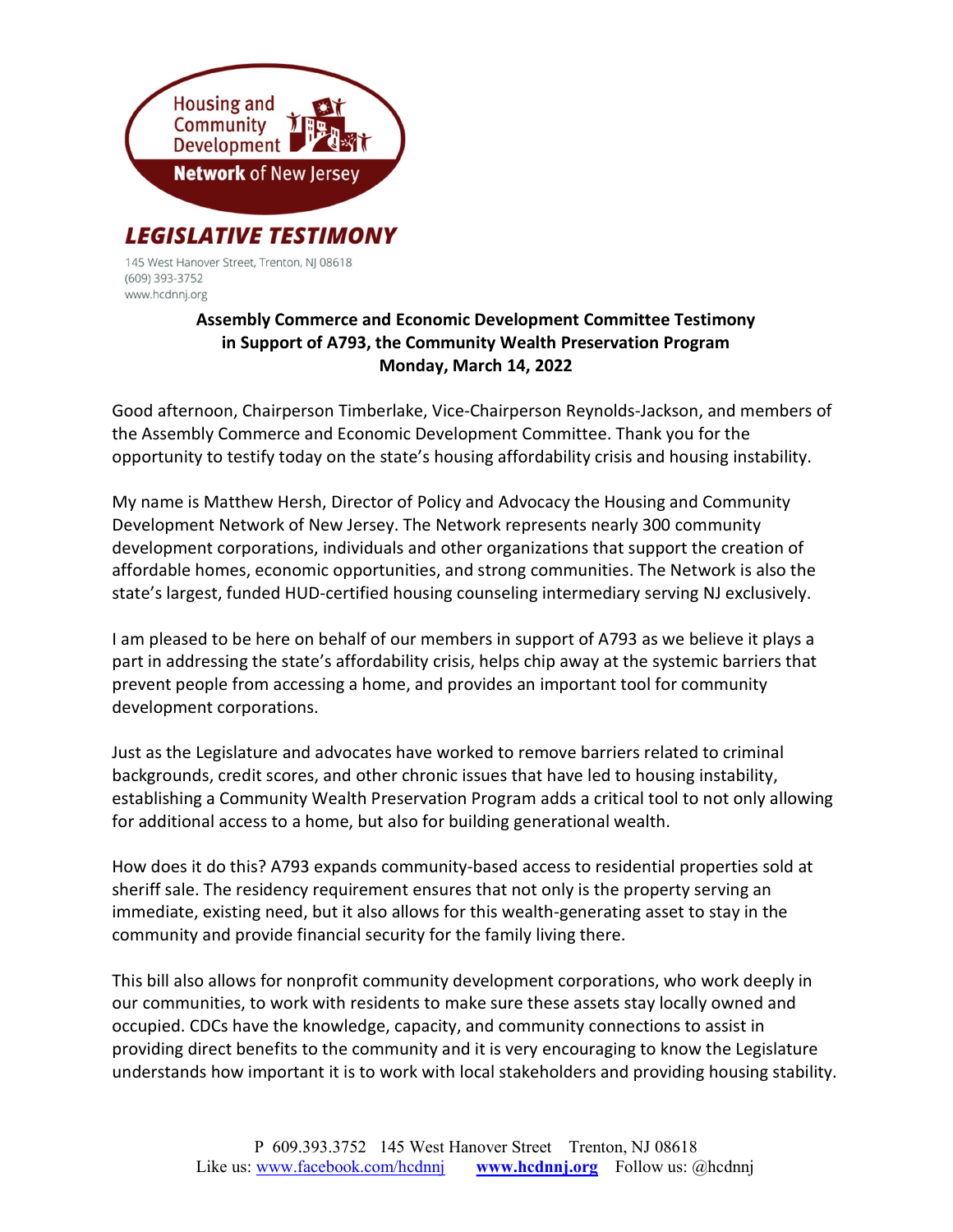

145 West Hanover Street, Trenton, NJ 08618 (609) 393-3752 www.hcdnnj.org

## Assembly Commerce and Economic Development Committee Testimony in Support of A793, the Community Wealth Preservation Program Monday, March 14, 2022

Good afternoon, Chairperson Timberlake, Vice-Chairperson Reynolds-Jackson, and members of the Assembly Commerce and Economic Development Committee. Thank you for the opportunity to testify today on the state's housing affordability crisis and housing instability.

My name is Matthew Hersh, Director of Policy and Advocacy the Housing and Community Development Network of New Jersey. The Network represents nearly 300 community development corporations, individuals and other organizations that support the creation of affordable homes, economic opportunities, and strong communities. The Network is also the state's largest, funded HUD-certified housing counseling intermediary serving NJ exclusively.

I am pleased to be here on behalf of our members in support of A793 as we believe it plays a part in addressing the state's affordability crisis, helps chip away at the systemic barriers that prevent people from accessing a home, and provides an important tool for community development corporations.

Just as the Legislature and advocates have worked to remove barriers related to criminal backgrounds, credit scores, and other chronic issues that have led to housing instability, establishing a Community Wealth Preservation Program adds a critical tool to not only allowing for additional access to a home, but also for building generational wealth.

How does it do this? A793 expands community-based access to residential properties sold at sheriff sale. The residency requirement ensures that not only is the property serving an immediate, existing need, but it also allows for this wealth-generating asset to stay in the community and provide financial security for the family living there.

This bill also allows for nonprofit community development corporations, who work deeply in our communities, to work with residents to make sure these assets stay locally owned and occupied. CDCs have the knowledge, capacity, and community connections to assist in providing direct benefits to the community and it is very encouraging to know the Legislature understands how important it is to work with local stakeholders and providing housing stability.